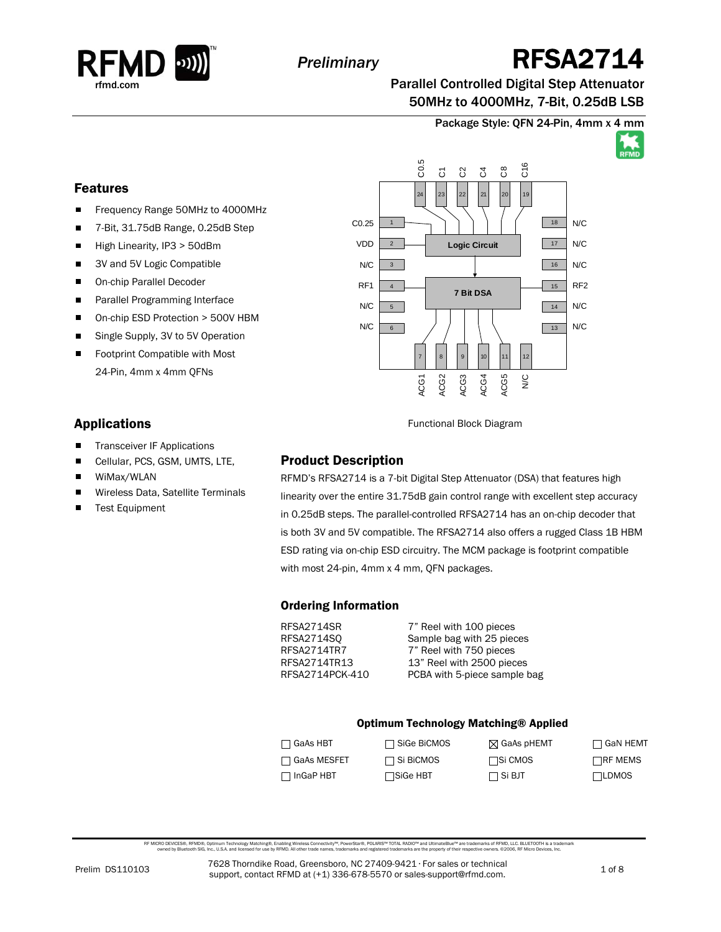

# *Preliminary* RFSA2714

Parallel Controlled Digital Step Attenuator 50MHz to 4000MHz, 7-Bit, 0.25dB LSB

Package Style: QFN 24-Pin, 4mm x 4 mm



### Features

- $\blacksquare$ Frequency Range 50MHz to 4000MHz
- n. 7-Bit, 31.75dB Range, 0.25dB Step
- $\blacksquare$ High Linearity, IP3 > 50dBm
- 3V and 5V Logic Compatible  $\blacksquare$
- $\blacksquare$ On-chip Parallel Decoder
- Parallel Programming Interface  $\blacksquare$
- $\blacksquare$ On-chip ESD Protection > 500V HBM
- $\blacksquare$ Single Supply, 3V to 5V Operation
- $\blacksquare$ Footprint Compatible with Most 24-Pin, 4mm x 4mm QFNs

### Applications

- **Transceiver IF Applications**
- Cellular, PCS, GSM, UMTS, LTE, П
- n. WiMax/WLAN
- Wireless Data, Satellite Terminals
- $\blacksquare$ Test Equipment

1 2 3 4 5 6 18  $17$  $16$ 15 14  $\boxed{13}$ 7 | | 8 | | 9 | | 10 | | 11 | | 12 24 23 22 21 20 19 **7 Bit DSA Logic Circuit** C0.25 VDD N/C RF1 N/C N/C N/C N/C N/C RF2 N/C N/C ACG1 ACG2 ACG3 ACG4 ACG5  $\frac{0}{2}$ C0.5  $\overline{c}$ C2  $\mathfrak{S}$  $\degree$  $56$ 

Functional Block Diagram

### Product Description

RFMD's RFSA2714 is a 7-bit Digital Step Attenuator (DSA) that features high linearity over the entire 31.75dB gain control range with excellent step accuracy in 0.25dB steps. The parallel-controlled RFSA2714 has an on-chip decoder that is both 3V and 5V compatible. The RFSA2714 also offers a rugged Class 1B HBM ESD rating via on-chip ESD circuitry. The MCM package is footprint compatible with most 24-pin, 4mm x 4 mm, QFN packages.

### Ordering Information

RFSA2714SR 7" Reel with 100 pieces RFSA2714SQ Sample bag with 25 pieces RFSA2714TR7 7" Reel with 750 pieces RFSA2714TR13 13" Reel with 2500 pieces<br>RFSA2714PCK-410 PCBA with 5-piece sample b PCBA with 5-piece sample bag

#### Optimum Technology Matching® Applied

| $\Box$ GaAs HBT  | $\Box$ SiGe BiCMOS | ⊠ GaAs pHEMT     | $\Box$ GaN HEMT |
|------------------|--------------------|------------------|-----------------|
| □ GaAs MESFET    | $\Box$ Si BiCMOS   | <b>□</b> Si CMOS | $\Box$ RF MEMS  |
| $\Box$ InGaP HBT | <b>□</b> SiGe HBT  | $\Box$ Si BJT    | <b>TLDMOS</b>   |

RF MICRO DEVCES®, RFMD®, Optimum Technology Matching®, Enabling Wireless Connectivity®, PowerStar®, PoLARIS™ TOTAL RADIO™ and UtlimateBlue™ are trademarks of RFMD, LLC. BLUETOOTH is a trademark<br>owned by Bluetooth SIG, Inc.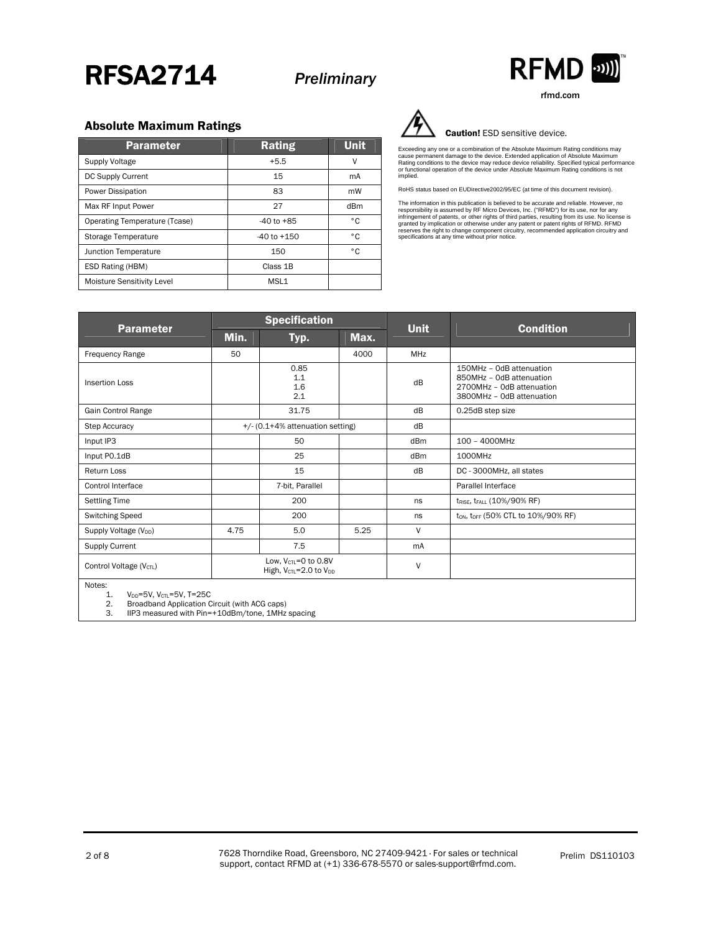



rfmd.com

#### Absolute Maximum Ratings

| <b>Parameter</b>              | <b>Rating</b>    | <b>Unit</b> |
|-------------------------------|------------------|-------------|
| <b>Supply Voltage</b>         | $+5.5$           | ٧           |
| DC Supply Current             | 15               | mA          |
| Power Dissipation             | 83               | mW          |
| Max RF Input Power            | 27               | dBm         |
| Operating Temperature (Tcase) | $-40$ to $+85$   | ۰c          |
| Storage Temperature           | $-40$ to $+150$  | ۰c          |
| Junction Temperature          | 150              | ۰c          |
| ESD Rating (HBM)              | Class 1B         |             |
| Moisture Sensitivity Level    | MSL <sub>1</sub> |             |



#### Caution! ESD sensitive device.

Exceeding any one or a combination of the Absolute Maximum Rating conditions may<br>cause permanent damage to the device. Extended application of Absolute Maximum<br>Rating conditions to the device may reduce device reliability. implied.

RoHS status based on EUDirective2002/95/EC (at time of this document revision).

The information in this publication is believed to be accurate and reliable. However, no<br>responsibility is assumed by RF Micro Devices, Inc. ("RFMD") for its use, nor for any<br>infringement of patents, or other rights of thi

| <b>Parameter</b>                    | <b>Specification</b>                                                                |                           |      | <b>Unit</b>     |                                                                                                                |  |
|-------------------------------------|-------------------------------------------------------------------------------------|---------------------------|------|-----------------|----------------------------------------------------------------------------------------------------------------|--|
|                                     | Min.                                                                                | Typ.                      | Max. |                 | <b>Condition</b>                                                                                               |  |
| <b>Frequency Range</b>              | 50                                                                                  |                           | 4000 | MHz             |                                                                                                                |  |
| <b>Insertion Loss</b>               |                                                                                     | 0.85<br>1.1<br>1.6<br>2.1 |      | dB              | 150MHz - OdB attenuation<br>850MHz - OdB attenuation<br>2700MHz - OdB attenuation<br>3800MHz - OdB attenuation |  |
| Gain Control Range                  |                                                                                     | 31.75                     |      | dB              | 0.25dB step size                                                                                               |  |
| <b>Step Accuracy</b>                | +/- (0.1+4% attenuation setting)                                                    |                           |      | dB              |                                                                                                                |  |
| Input IP3                           |                                                                                     | 50                        |      | dB <sub>m</sub> | 100 - 4000MHz                                                                                                  |  |
| Input PO.1dB                        |                                                                                     | 25                        |      | dB <sub>m</sub> | 1000MHz                                                                                                        |  |
| Return Loss                         |                                                                                     | 15                        |      | dB              | DC - 3000MHz, all states                                                                                       |  |
| <b>Control Interface</b>            |                                                                                     | 7-bit, Parallel           |      |                 | Parallel Interface                                                                                             |  |
| <b>Settling Time</b>                |                                                                                     | 200                       |      | ns              | t <sub>rise</sub> , t <sub>rall</sub> (10%/90% RF)                                                             |  |
| <b>Switching Speed</b>              |                                                                                     | 200                       |      | ns              | ton, toff (50% CTL to 10%/90% RF)                                                                              |  |
| Supply Voltage (V <sub>DD</sub> )   | 4.75                                                                                | 5.0                       | 5.25 | V               |                                                                                                                |  |
| Supply Current                      |                                                                                     | 7.5                       |      | mA              |                                                                                                                |  |
| Control Voltage (V <sub>CTL</sub> ) | Low, $V_{\text{CTL}} = 0$ to 0.8V<br>High, V <sub>CTL</sub> =2.0 to V <sub>DD</sub> |                           | V    |                 |                                                                                                                |  |
| Notes:                              |                                                                                     |                           |      |                 |                                                                                                                |  |

1.  $V_{DD} = 5V$ ,  $V_{CL} = 5V$ ,  $T = 25C$ <br>2. Broadband Application C

2. Broadband Application Circuit (with ACG caps)<br>3. IIP3 measured with Pin=+10dBm/tone. 1MHz

3. IIP3 measured with Pin=+10dBm/tone, 1MHz spacing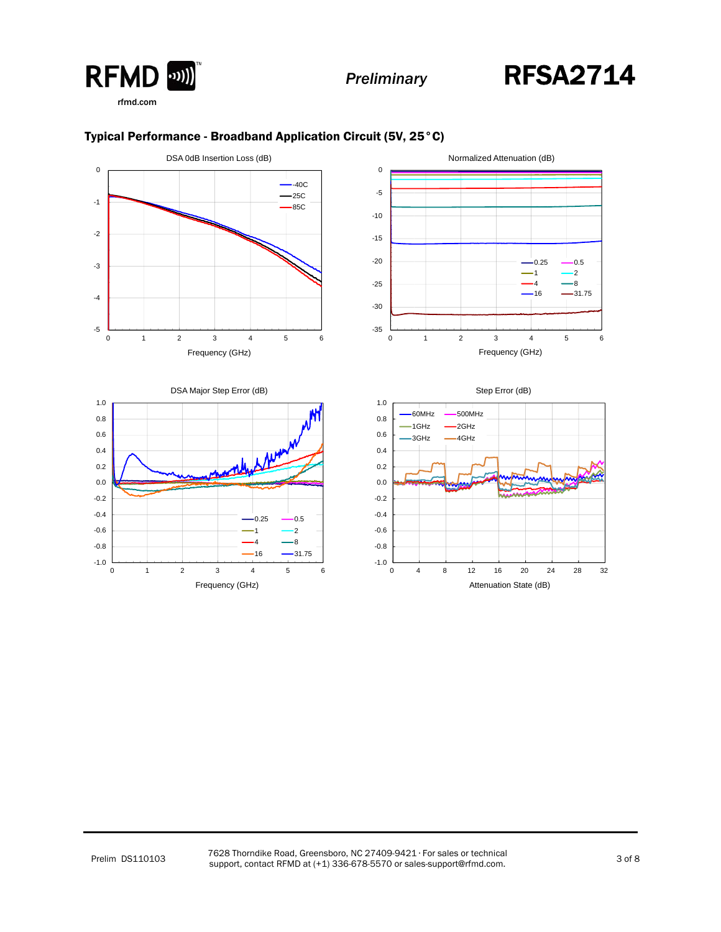



 $-0.25 - 0.5$  $-1$   $-2$  $-4$   $-8$  $-16$   $-31.75$ 



#### Typical Performance - Broadband Application Circuit (5V, 25°C)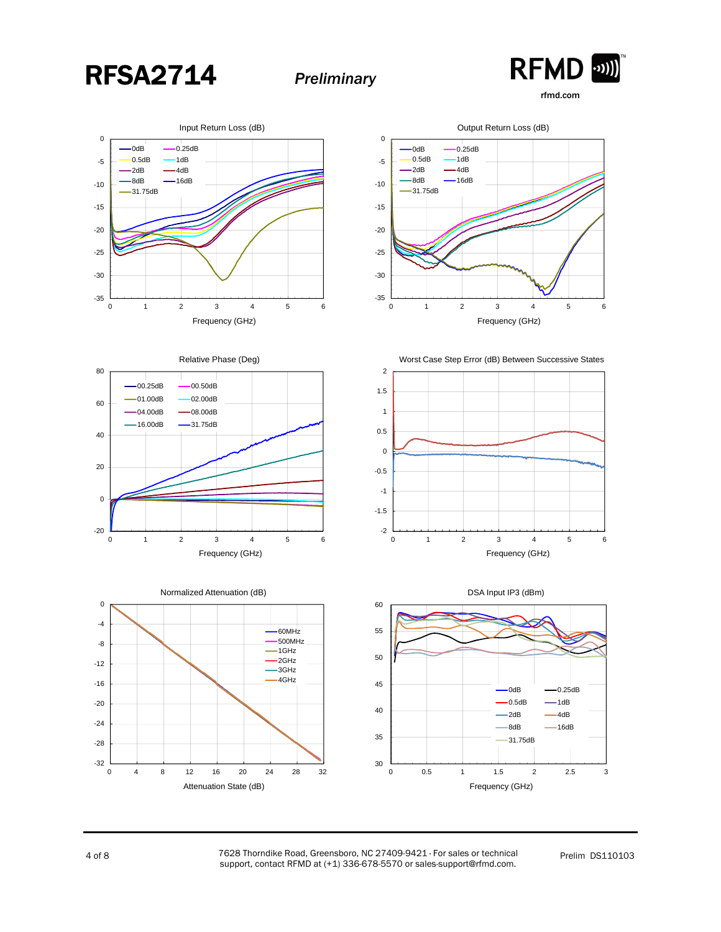



rfmd.com

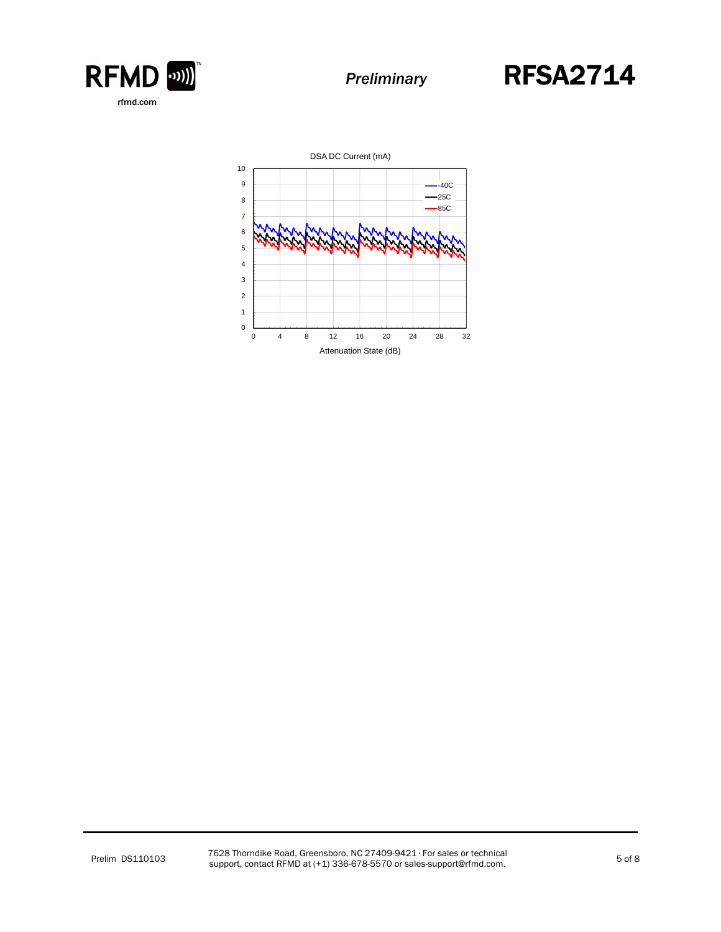



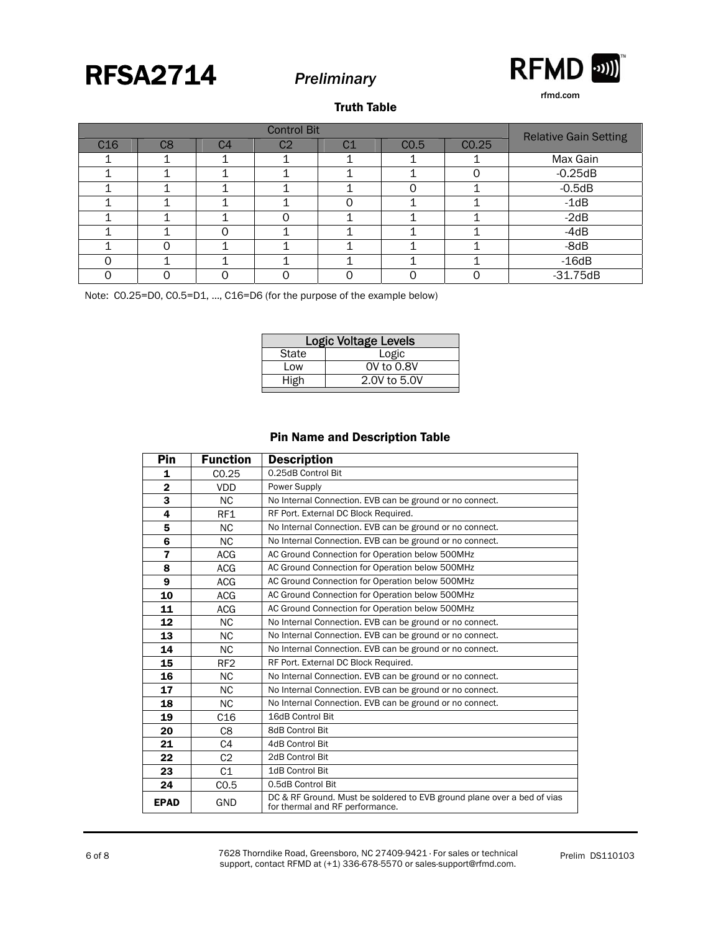



rfmd.com

#### Truth Table

| <b>Control Bit</b> |                |                |                |                | <b>Relative Gain Setting</b> |       |            |
|--------------------|----------------|----------------|----------------|----------------|------------------------------|-------|------------|
| C16                | C <sub>8</sub> | C <sub>4</sub> | C <sub>2</sub> | C <sub>1</sub> | CO.5                         | CO.25 |            |
|                    |                |                |                |                |                              |       | Max Gain   |
|                    |                |                |                |                |                              |       | $-0.25dB$  |
|                    |                |                |                |                |                              |       | $-0.5dB$   |
|                    |                |                |                |                |                              |       | $-1dB$     |
|                    |                |                |                |                |                              |       | $-2dB$     |
|                    |                |                |                |                |                              |       | $-4dB$     |
|                    |                |                |                |                |                              |       | -8dB       |
|                    |                |                |                |                |                              |       | $-16dB$    |
|                    |                |                |                |                |                              |       | $-31.75dB$ |

Note: C0.25=D0, C0.5=D1, …, C16=D6 (for the purpose of the example below)

| <b>Logic Voltage Levels</b> |              |  |  |
|-----------------------------|--------------|--|--|
| State                       | Logic        |  |  |
| Low                         | 0V to 0.8V   |  |  |
| High                        | 2.0V to 5.0V |  |  |
|                             |              |  |  |

#### Pin Name and Description Table

| Pin            | <b>Function</b> | <b>Description</b>                                                                                         |
|----------------|-----------------|------------------------------------------------------------------------------------------------------------|
| 1              | CO.25           | 0.25dB Control Bit                                                                                         |
| $\overline{2}$ | <b>VDD</b>      | Power Supply                                                                                               |
| 3              | <b>NC</b>       | No Internal Connection. EVB can be ground or no connect.                                                   |
| 4              | RF1             | RF Port. External DC Block Required.                                                                       |
| 5              | <b>NC</b>       | No Internal Connection. EVB can be ground or no connect.                                                   |
| 6              | <b>NC</b>       | No Internal Connection. EVB can be ground or no connect.                                                   |
| $\overline{7}$ | <b>ACG</b>      | AC Ground Connection for Operation below 500MHz                                                            |
| 8              | <b>ACG</b>      | AC Ground Connection for Operation below 500MHz                                                            |
| 9              | <b>ACG</b>      | AC Ground Connection for Operation below 500MHz                                                            |
| 10             | <b>ACG</b>      | AC Ground Connection for Operation below 500MHz                                                            |
| 11             | <b>ACG</b>      | AC Ground Connection for Operation below 500MHz                                                            |
| 12             | <b>NC</b>       | No Internal Connection. EVB can be ground or no connect.                                                   |
| 13             | <b>NC</b>       | No Internal Connection. EVB can be ground or no connect.                                                   |
| 14             | <b>NC</b>       | No Internal Connection. EVB can be ground or no connect.                                                   |
| 15             | RF <sub>2</sub> | RF Port. External DC Block Required.                                                                       |
| 16             | <b>NC</b>       | No Internal Connection. EVB can be ground or no connect.                                                   |
| 17             | <b>NC</b>       | No Internal Connection. EVB can be ground or no connect.                                                   |
| 18             | <b>NC</b>       | No Internal Connection. EVB can be ground or no connect.                                                   |
| 19             | C <sub>16</sub> | 16dB Control Bit                                                                                           |
| 20             | C8              | <b>8dB Control Bit</b>                                                                                     |
| 21             | C4              | 4dB Control Bit                                                                                            |
| 22             | C <sub>2</sub>  | 2dB Control Bit                                                                                            |
| 23             | C <sub>1</sub>  | 1dB Control Bit                                                                                            |
| 24             | CO.5            | 0.5dB Control Bit                                                                                          |
| <b>EPAD</b>    | GND             | DC & RF Ground. Must be soldered to EVB ground plane over a bed of vias<br>for thermal and RF performance. |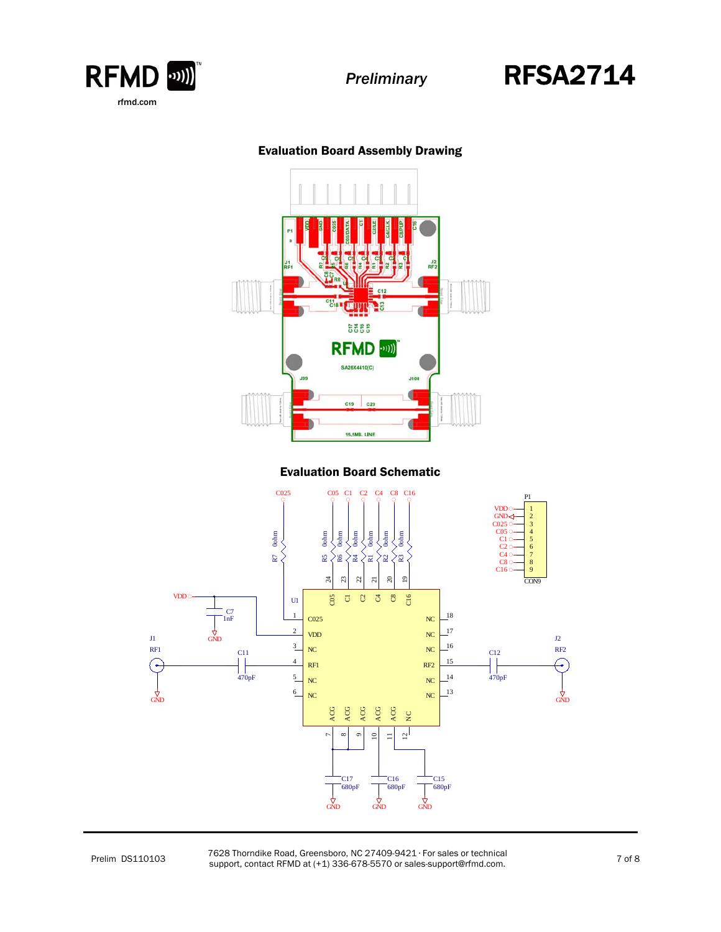

## *Preliminary* RFSA2714

### Evaluation Board Assembly Drawing



#### Evaluation Board Schematic



Prelim DS110103 7628 Thorndike Road, Greensboro, NC 27409-9421 · For sales or technical<br>
Support contact PEMD at (+1) 226 679 5570 or calco support@rfmd.com rozo Thomaike Road, Greensboro, NC 27409-9421 For sales or technical<br>support, contact RFMD at (+1) 336-678-5570 or sales-support@rfmd.com.